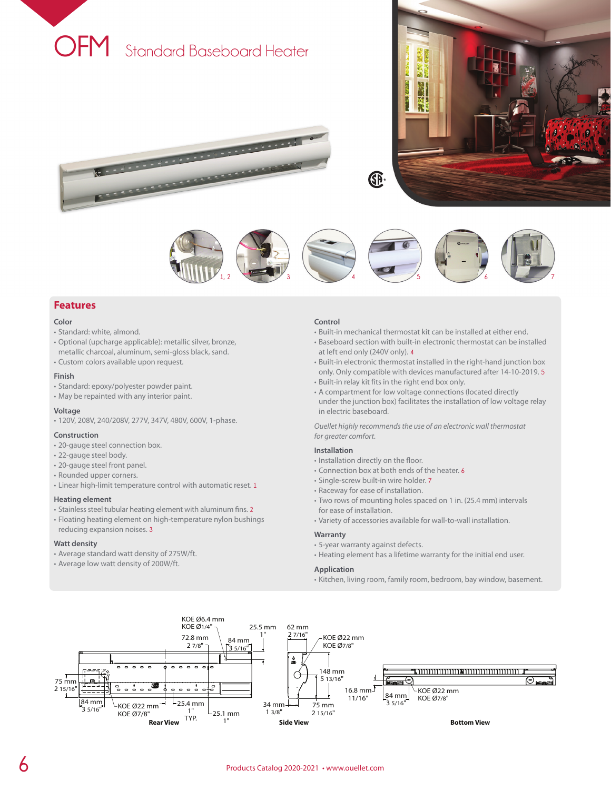

<u>production and the contract of the contract of the contract of the contract of the contract of the contract of the contract of the contract of the contract of the contract of the contract of the contract of the contract o</u>

**REAL PROPERTY AND INCOME.** 





## **Features**

#### **Color**

- Standard: white, almond.
- Optional (upcharge applicable): metallic silver, bronze, metallic charcoal, aluminum, semi-gloss black, sand.
- Custom colors available upon request.

## **Finish**

- Standard: epoxy/polyester powder paint.
- May be repainted with any interior paint.

#### **Voltage**

• 120V, 208V, 240/208V, 277V, 347V, 480V, 600V, 1-phase.

#### **Construction**

- 20-gauge steel connection box.
- 22-gauge steel body.
- 20-gauge steel front panel.
- Rounded upper corners.
- Linear high-limit temperature control with automatic reset. **1**

### **Heating element**

- Stainless steel tubular heating element with aluminum fins. **2**
- Floating heating element on high-temperature nylon bushings reducing expansion noises. **3**

#### **Watt density**

- Average standard watt density of 275W/ft.
- Average low watt density of 200W/ft.

#### **Control**

- Built-in mechanical thermostat kit can be installed at either end.
- Baseboard section with built-in electronic thermostat can be installed at left end only (240V only). **4**
- Built-in electronic thermostat installed in the right-hand junction box only. Only compatible with devices manufactured after 14-10-2019. **5** • Built-in relay kit fits in the right end box only.
- 
- A compartment for low voltage connections (located directly under the junction box) facilitates the installation of low voltage relay in electric baseboard.

*Ouellet highly recommends the use of an electronic wall thermostat for greater comfort.*

### **Installation**

- Installation directly on the floor.
- Connection box at both ends of the heater. **6**
- Single-screw built-in wire holder. **7**
- Raceway for ease of installation.
- Two rows of mounting holes spaced on 1 in. (25.4 mm) intervals for ease of installation.
- Variety of accessories available for wall-to-wall installation.

#### **Warranty**

- 5-year warranty against defects.
- Heating element has a lifetime warranty for the initial end user.

### **Application**

• Kitchen, living room, family room, bedroom, bay window, basement.